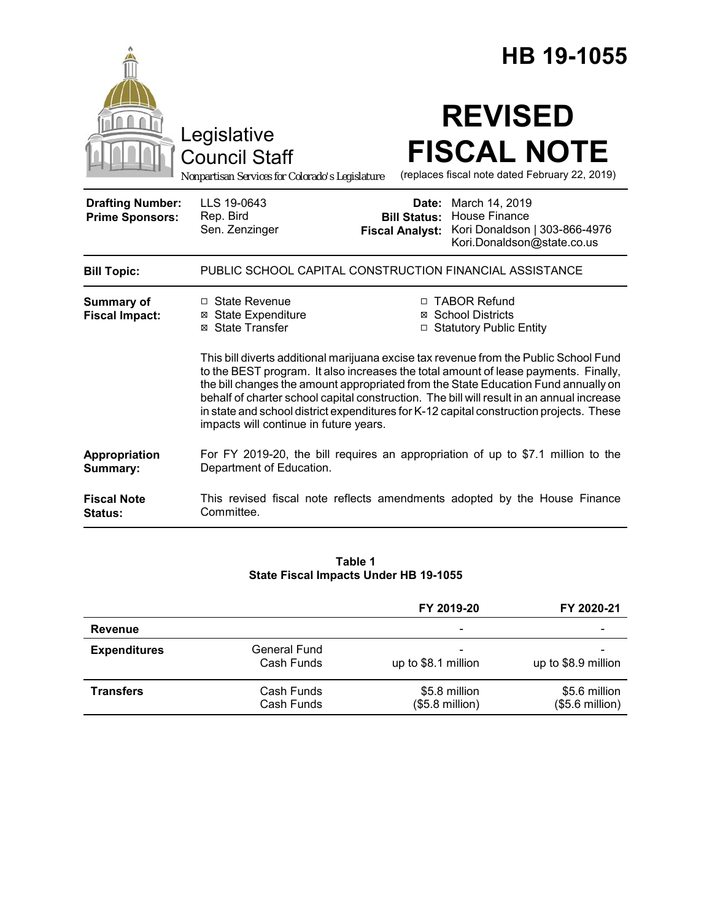|                                                   |                                                                                                                                                                                                                                                                                                                                                                                                                                                                                                                                                                                                                                                       | HB 19-1055                                                                                                                                                          |  |  |  |
|---------------------------------------------------|-------------------------------------------------------------------------------------------------------------------------------------------------------------------------------------------------------------------------------------------------------------------------------------------------------------------------------------------------------------------------------------------------------------------------------------------------------------------------------------------------------------------------------------------------------------------------------------------------------------------------------------------------------|---------------------------------------------------------------------------------------------------------------------------------------------------------------------|--|--|--|
|                                                   | Legislative<br><b>Council Staff</b><br>Nonpartisan Services for Colorado's Legislature                                                                                                                                                                                                                                                                                                                                                                                                                                                                                                                                                                | <b>REVISED</b><br><b>FISCAL NOTE</b><br>(replaces fiscal note dated February 22, 2019)                                                                              |  |  |  |
| <b>Drafting Number:</b><br><b>Prime Sponsors:</b> | LLS 19-0643<br>Rep. Bird<br>Sen. Zenzinger                                                                                                                                                                                                                                                                                                                                                                                                                                                                                                                                                                                                            | <b>Date:</b> March 14, 2019<br><b>House Finance</b><br><b>Bill Status:</b><br>Kori Donaldson   303-866-4976<br><b>Fiscal Analyst:</b><br>Kori.Donaldson@state.co.us |  |  |  |
| <b>Bill Topic:</b>                                |                                                                                                                                                                                                                                                                                                                                                                                                                                                                                                                                                                                                                                                       | PUBLIC SCHOOL CAPITAL CONSTRUCTION FINANCIAL ASSISTANCE                                                                                                             |  |  |  |
| Summary of<br><b>Fiscal Impact:</b>               | □ State Revenue<br>□ TABOR Refund<br><b>⊠</b> State Expenditure<br><b>⊠ School Districts</b><br>⊠ State Transfer<br>□ Statutory Public Entity<br>This bill diverts additional marijuana excise tax revenue from the Public School Fund<br>to the BEST program. It also increases the total amount of lease payments. Finally,<br>the bill changes the amount appropriated from the State Education Fund annually on<br>behalf of charter school capital construction. The bill will result in an annual increase<br>in state and school district expenditures for K-12 capital construction projects. These<br>impacts will continue in future years. |                                                                                                                                                                     |  |  |  |
| Appropriation<br>Summary:                         | Department of Education.                                                                                                                                                                                                                                                                                                                                                                                                                                                                                                                                                                                                                              | For FY 2019-20, the bill requires an appropriation of up to \$7.1 million to the                                                                                    |  |  |  |
| <b>Fiscal Note</b><br>Status:                     | Committee.                                                                                                                                                                                                                                                                                                                                                                                                                                                                                                                                                                                                                                            | This revised fiscal note reflects amendments adopted by the House Finance                                                                                           |  |  |  |

#### **Table 1 State Fiscal Impacts Under HB 19-1055**

|                     |                                   | FY 2019-20                        | FY 2020-21                        |
|---------------------|-----------------------------------|-----------------------------------|-----------------------------------|
| Revenue             |                                   | $\overline{\phantom{0}}$          |                                   |
| <b>Expenditures</b> | <b>General Fund</b><br>Cash Funds | up to \$8.1 million               | up to \$8.9 million               |
| <b>Transfers</b>    | Cash Funds<br>Cash Funds          | \$5.8 million<br>$($5.8$ million) | \$5.6 million<br>$($5.6$ million) |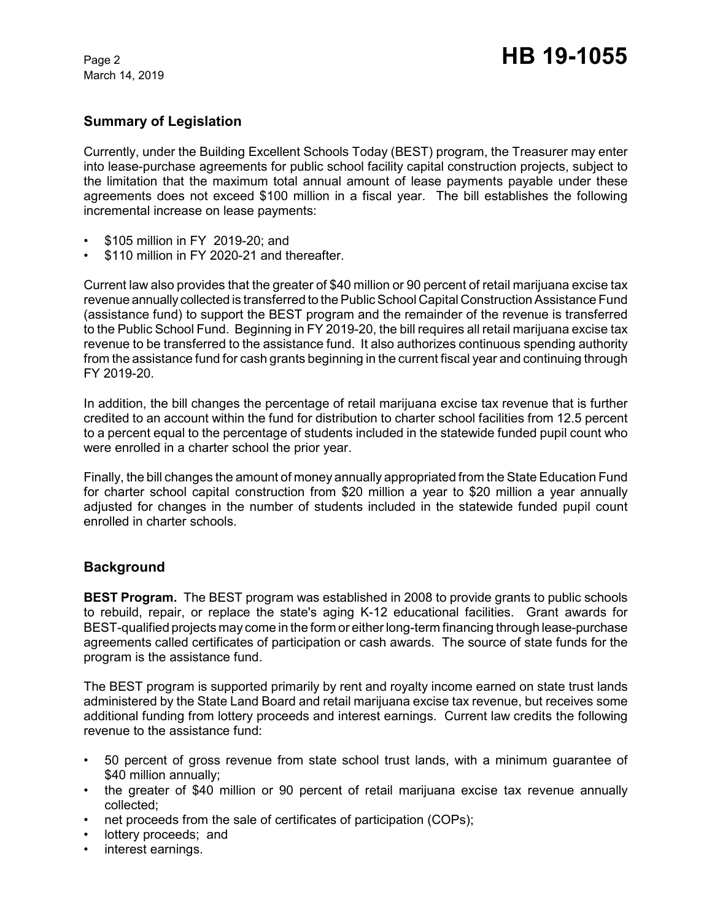March 14, 2019

# **Summary of Legislation**

Currently, under the Building Excellent Schools Today (BEST) program, the Treasurer may enter into lease-purchase agreements for public school facility capital construction projects, subject to the limitation that the maximum total annual amount of lease payments payable under these agreements does not exceed \$100 million in a fiscal year. The bill establishes the following incremental increase on lease payments:

- \$105 million in FY 2019-20; and
- \$110 million in FY 2020-21 and thereafter.

Current law also provides that the greater of \$40 million or 90 percent of retail marijuana excise tax revenue annually collected is transferred to the Public School Capital Construction Assistance Fund (assistance fund) to support the BEST program and the remainder of the revenue is transferred to the Public School Fund. Beginning in FY 2019-20, the bill requires all retail marijuana excise tax revenue to be transferred to the assistance fund. It also authorizes continuous spending authority from the assistance fund for cash grants beginning in the current fiscal year and continuing through FY 2019-20.

In addition, the bill changes the percentage of retail marijuana excise tax revenue that is further credited to an account within the fund for distribution to charter school facilities from 12.5 percent to a percent equal to the percentage of students included in the statewide funded pupil count who were enrolled in a charter school the prior year.

Finally, the bill changes the amount of money annually appropriated from the State Education Fund for charter school capital construction from \$20 million a year to \$20 million a year annually adjusted for changes in the number of students included in the statewide funded pupil count enrolled in charter schools.

## **Background**

**BEST Program.** The BEST program was established in 2008 to provide grants to public schools to rebuild, repair, or replace the state's aging K-12 educational facilities. Grant awards for BEST-qualified projects may come in the form or either long-term financing through lease-purchase agreements called certificates of participation or cash awards. The source of state funds for the program is the assistance fund.

The BEST program is supported primarily by rent and royalty income earned on state trust lands administered by the State Land Board and retail marijuana excise tax revenue, but receives some additional funding from lottery proceeds and interest earnings. Current law credits the following revenue to the assistance fund:

- 50 percent of gross revenue from state school trust lands, with a minimum guarantee of \$40 million annually:
- the greater of \$40 million or 90 percent of retail marijuana excise tax revenue annually collected;
- net proceeds from the sale of certificates of participation (COPs);
- lottery proceeds; and
- interest earnings.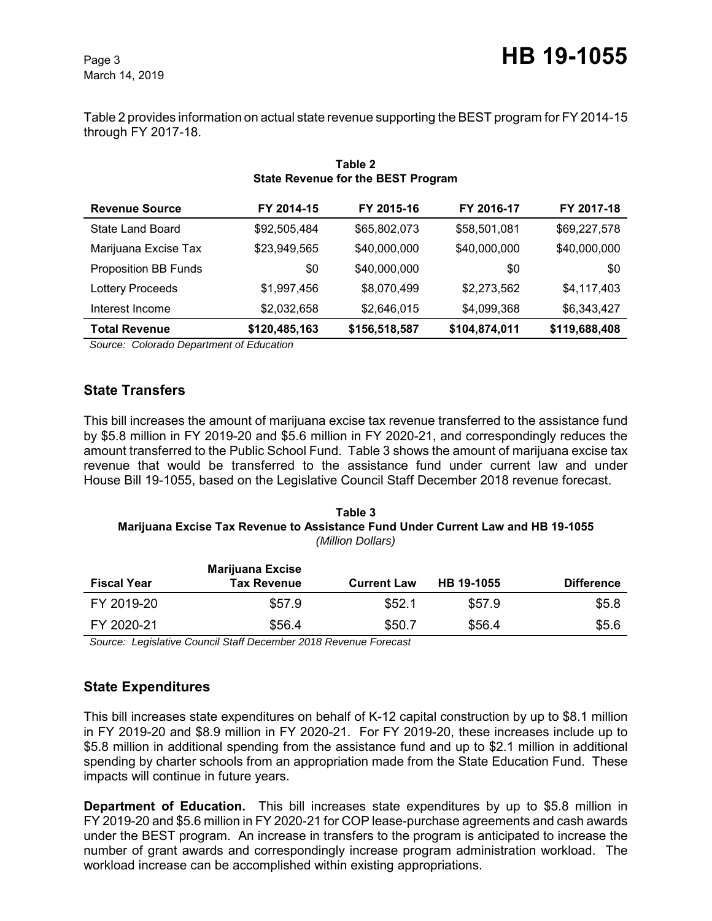March 14, 2019

Table 2 provides information on actual state revenue supporting the BEST program for FY 2014-15 through FY 2017-18.

| State Revenue for the BEST Program |               |               |               |               |  |  |
|------------------------------------|---------------|---------------|---------------|---------------|--|--|
| <b>Revenue Source</b>              | FY 2014-15    | FY 2015-16    | FY 2016-17    | FY 2017-18    |  |  |
| State Land Board                   | \$92,505,484  | \$65,802,073  | \$58,501,081  | \$69,227,578  |  |  |
| Marijuana Excise Tax               | \$23,949,565  | \$40,000,000  | \$40,000,000  | \$40,000,000  |  |  |
| <b>Proposition BB Funds</b>        | \$0           | \$40,000,000  | \$0           | \$0           |  |  |
| <b>Lottery Proceeds</b>            | \$1,997,456   | \$8,070,499   | \$2,273,562   | \$4,117,403   |  |  |
| Interest Income                    | \$2,032,658   | \$2,646,015   | \$4,099,368   | \$6,343,427   |  |  |
| <b>Total Revenue</b>               | \$120,485,163 | \$156,518,587 | \$104,874,011 | \$119,688,408 |  |  |

### **Table 2 State Revenue for the BEST Program**

 *Source: Colorado Department of Education*

## **State Transfers**

This bill increases the amount of marijuana excise tax revenue transferred to the assistance fund by \$5.8 million in FY 2019-20 and \$5.6 million in FY 2020-21, and correspondingly reduces the amount transferred to the Public School Fund. Table 3 shows the amount of marijuana excise tax revenue that would be transferred to the assistance fund under current law and under House Bill 19-1055, based on the Legislative Council Staff December 2018 revenue forecast.

#### **Table 3 Marijuana Excise Tax Revenue to Assistance Fund Under Current Law and HB 19-1055** *(Million Dollars)*

| <b>Fiscal Year</b> | <b>Marijuana Excise</b><br><b>Tax Revenue</b> | <b>Current Law</b> | HB 19-1055 | <b>Difference</b> |
|--------------------|-----------------------------------------------|--------------------|------------|-------------------|
| FY 2019-20         | \$57.9                                        | \$52.1             | \$57.9     | \$5.8             |
| FY 2020-21         | \$56.4                                        | \$50.7             | \$56.4     | \$5.6             |

 *Source: Legislative Council Staff December 2018 Revenue Forecast*

# **State Expenditures**

This bill increases state expenditures on behalf of K-12 capital construction by up to \$8.1 million in FY 2019-20 and \$8.9 million in FY 2020-21. For FY 2019-20, these increases include up to \$5.8 million in additional spending from the assistance fund and up to \$2.1 million in additional spending by charter schools from an appropriation made from the State Education Fund. These impacts will continue in future years.

**Department of Education.** This bill increases state expenditures by up to \$5.8 million in FY 2019-20 and \$5.6 million in FY 2020-21 for COP lease-purchase agreements and cash awards under the BEST program. An increase in transfers to the program is anticipated to increase the number of grant awards and correspondingly increase program administration workload. The workload increase can be accomplished within existing appropriations.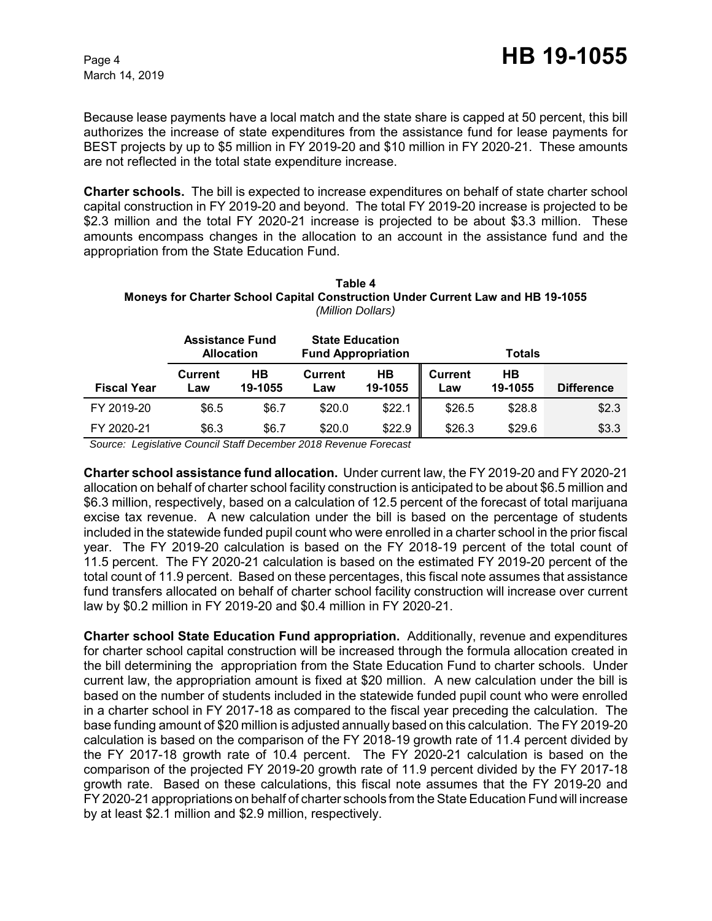Because lease payments have a local match and the state share is capped at 50 percent, this bill authorizes the increase of state expenditures from the assistance fund for lease payments for BEST projects by up to \$5 million in FY 2019-20 and \$10 million in FY 2020-21. These amounts are not reflected in the total state expenditure increase.

**Charter schools.** The bill is expected to increase expenditures on behalf of state charter school capital construction in FY 2019-20 and beyond. The total FY 2019-20 increase is projected to be \$2.3 million and the total FY 2020-21 increase is projected to be about \$3.3 million. These amounts encompass changes in the allocation to an account in the assistance fund and the appropriation from the State Education Fund.

| Table 4                                                                                |
|----------------------------------------------------------------------------------------|
| <b>Moneys for Charter School Capital Construction Under Current Law and HB 19-1055</b> |
| (Million Dollars)                                                                      |

|                    | <b>Assistance Fund</b><br><b>Allocation</b> |               | <b>State Education</b><br><b>Fund Appropriation</b> |               |                | <b>Totals</b> |                   |
|--------------------|---------------------------------------------|---------------|-----------------------------------------------------|---------------|----------------|---------------|-------------------|
| <b>Fiscal Year</b> | Current<br>_aw                              | HВ<br>19-1055 | Current<br>Law                                      | HB<br>19-1055 | Current<br>Law | HВ<br>19-1055 | <b>Difference</b> |
| FY 2019-20         | \$6.5                                       | \$6.7         | \$20.0                                              | \$22.1        | \$26.5         | \$28.8        | \$2.3             |
| FY 2020-21         | \$6.3                                       | \$6.7         | \$20.0                                              | \$22.9        | \$26.3         | \$29.6        | \$3.3             |

 *Source: Legislative Council Staff December 2018 Revenue Forecast*

**Charter school assistance fund allocation.**Under current law, the FY 2019-20 and FY 2020-21 allocation on behalf of charter school facility construction is anticipated to be about \$6.5 million and \$6.3 million, respectively, based on a calculation of 12.5 percent of the forecast of total marijuana excise tax revenue. A new calculation under the bill is based on the percentage of students included in the statewide funded pupil count who were enrolled in a charter school in the prior fiscal year. The FY 2019-20 calculation is based on the FY 2018-19 percent of the total count of 11.5 percent. The FY 2020-21 calculation is based on the estimated FY 2019-20 percent of the total count of 11.9 percent. Based on these percentages, this fiscal note assumes that assistance fund transfers allocated on behalf of charter school facility construction will increase over current law by \$0.2 million in FY 2019-20 and \$0.4 million in FY 2020-21.

**Charter school State Education Fund appropriation.** Additionally, revenue and expenditures for charter school capital construction will be increased through the formula allocation created in the bill determining the appropriation from the State Education Fund to charter schools. Under current law, the appropriation amount is fixed at \$20 million. A new calculation under the bill is based on the number of students included in the statewide funded pupil count who were enrolled in a charter school in FY 2017-18 as compared to the fiscal year preceding the calculation. The base funding amount of \$20 million is adjusted annually based on this calculation. The FY 2019-20 calculation is based on the comparison of the FY 2018-19 growth rate of 11.4 percent divided by the FY 2017-18 growth rate of 10.4 percent. The FY 2020-21 calculation is based on the comparison of the projected FY 2019-20 growth rate of 11.9 percent divided by the FY 2017-18 growth rate. Based on these calculations, this fiscal note assumes that the FY 2019-20 and FY 2020-21 appropriations on behalf of charter schools from the State Education Fund will increase by at least \$2.1 million and \$2.9 million, respectively.